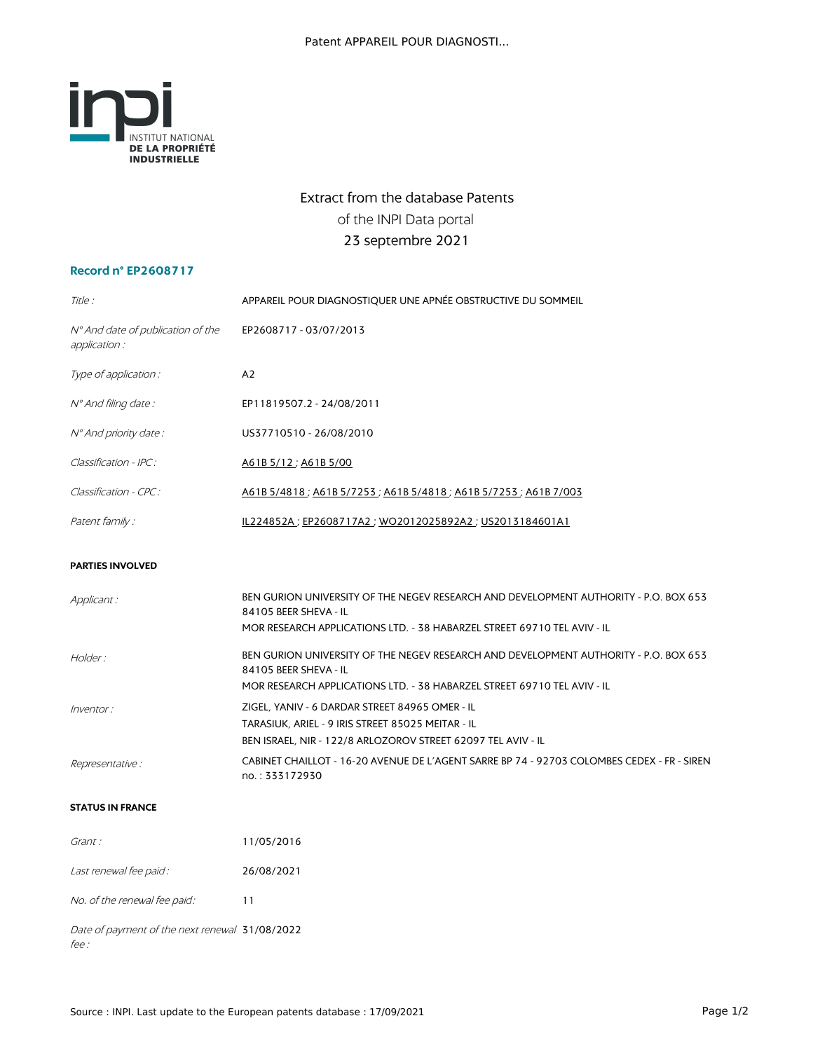

## Extract from the database Patents of the INPI Data portal 23 septembre 2021

## **Record n° EP2608717**

| Title :                                            | APPAREIL POUR DIAGNOSTIQUER UNE APNÉE OBSTRUCTIVE DU SOMMEIL                         |  |
|----------------------------------------------------|--------------------------------------------------------------------------------------|--|
| N° And date of publication of the<br>application : | EP2608717 - 03/07/2013                                                               |  |
| Type of application :                              | A <sub>2</sub>                                                                       |  |
| N° And filing date:                                | EP11819507.2 - 24/08/2011                                                            |  |
| Nº And priority date:                              | US37710510 - 26/08/2010                                                              |  |
| Classification - IPC:                              | A61B 5/12; A61B 5/00                                                                 |  |
| Classification - CPC:                              | A61B 5/4818; A61B 5/7253; A61B 5/4818; A61B 5/7253; A61B 7/003                       |  |
| Patent family :                                    | IL224852A ; EP2608717A2 ; WO2012025892A2 ; US2013184601A1                            |  |
| <b>PARTIES INVOLVED</b>                            |                                                                                      |  |
| Applicant :                                        | BEN GURION UNIVERSITY OF THE NEGEV RESEARCH AND DEVELOPMENT AUTHORITY - P.O. BOX 653 |  |

84105 BEER SHEVA - IL

|                         | MOR RESEARCH APPLICATIONS LTD. - 38 HABARZEL STREET 69710 TEL AVIV - IL                                       |
|-------------------------|---------------------------------------------------------------------------------------------------------------|
| Holder:                 | BEN GURION UNIVERSITY OF THE NEGEV RESEARCH AND DEVELOPMENT AUTHORITY - P.O. BOX 653<br>84105 BEER SHEVA - IL |
|                         | MOR RESEARCH APPLICATIONS LTD. - 38 HABARZEL STREET 69710 TEL AVIV - IL                                       |
| Inventor:               | ZIGEL, YANIV - 6 DARDAR STREET 84965 OMER - IL                                                                |
|                         | TARASIUK, ARIEL - 9 IRIS STREET 85025 MEITAR - IL                                                             |
|                         | BEN ISRAEL, NIR - 122/8 ARLOZOROV STREET 62097 TEL AVIV - IL                                                  |
| <i>Representative :</i> | CABINET CHAILLOT - 16-20 AVENUE DE L'AGENT SARRE BP 74 - 92703 COLOMBES CEDEX - FR - SIREN                    |
|                         | no.: 333172930                                                                                                |

## **STATUS IN FRANCE**

| Grant :                                        | 11/05/2016 |
|------------------------------------------------|------------|
| Last renewal fee paid:                         | 26/08/2021 |
| No. of the renewal fee paid:                   | 11         |
| Date of payment of the next renewal 31/08/2022 |            |

fee :